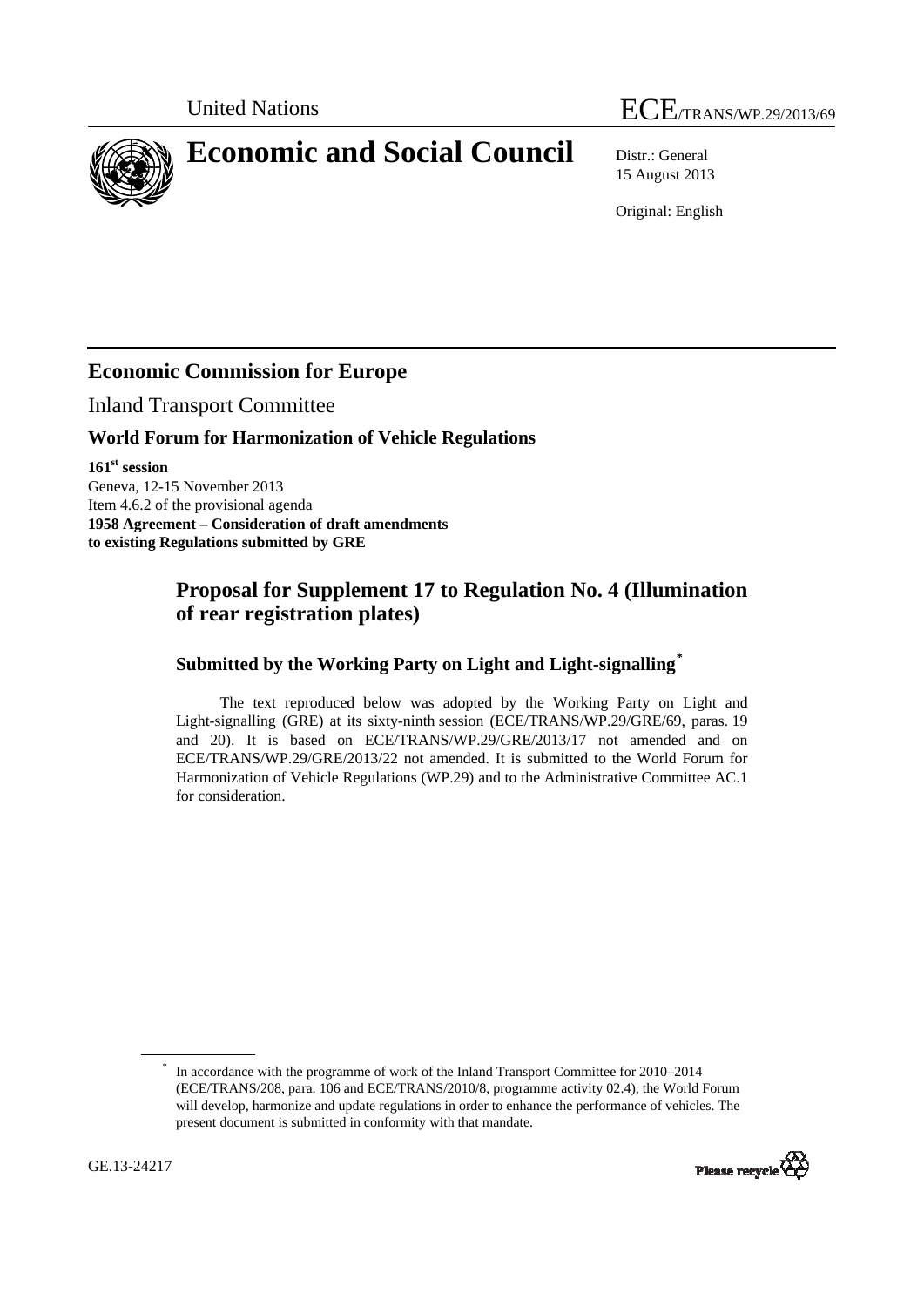# United Nations ECE/TRANS/WP.29/2013/69

<span id="page-0-0"></span>**Economic and Social Council** Distr.: General

15 August 2013

Original: English

# **Economic Commission for Europe**

Inland Transport Committee

#### **World Forum for Harmonization of Vehicle Regulations**

**161st session**  Geneva, 12-15 November 2013 Item 4.6.2 of the provisional agenda **1958 Agreement – Consideration of draft amendments to existing Regulations submitted by GRE** 

## **Proposal for Supplement 17 to Regulation No. 4 (Illumination of rear registration plates)**

### **Submitted by the Working Party on Light and Light-signalling[\\*](#page-0-0)**

The text reproduced below was adopted by the Working Party on Light and Light-signalling (GRE) at its sixty-ninth session (ECE/TRANS/WP.29/GRE/69, paras. 19 and 20). It is based on ECE/TRANS/WP.29/GRE/2013/17 not amended and on ECE/TRANS/WP.29/GRE/2013/22 not amended. It is submitted to the World Forum for Harmonization of Vehicle Regulations (WP.29) and to the Administrative Committee AC.1 for consideration.

<sup>\*</sup> In accordance with the programme of work of the Inland Transport Committee for 2010–2014 (ECE/TRANS/208, para. 106 and ECE/TRANS/2010/8, programme activity 02.4), the World Forum will develop, harmonize and update regulations in order to enhance the performance of vehicles. The present document is submitted in conformity with that mandate.

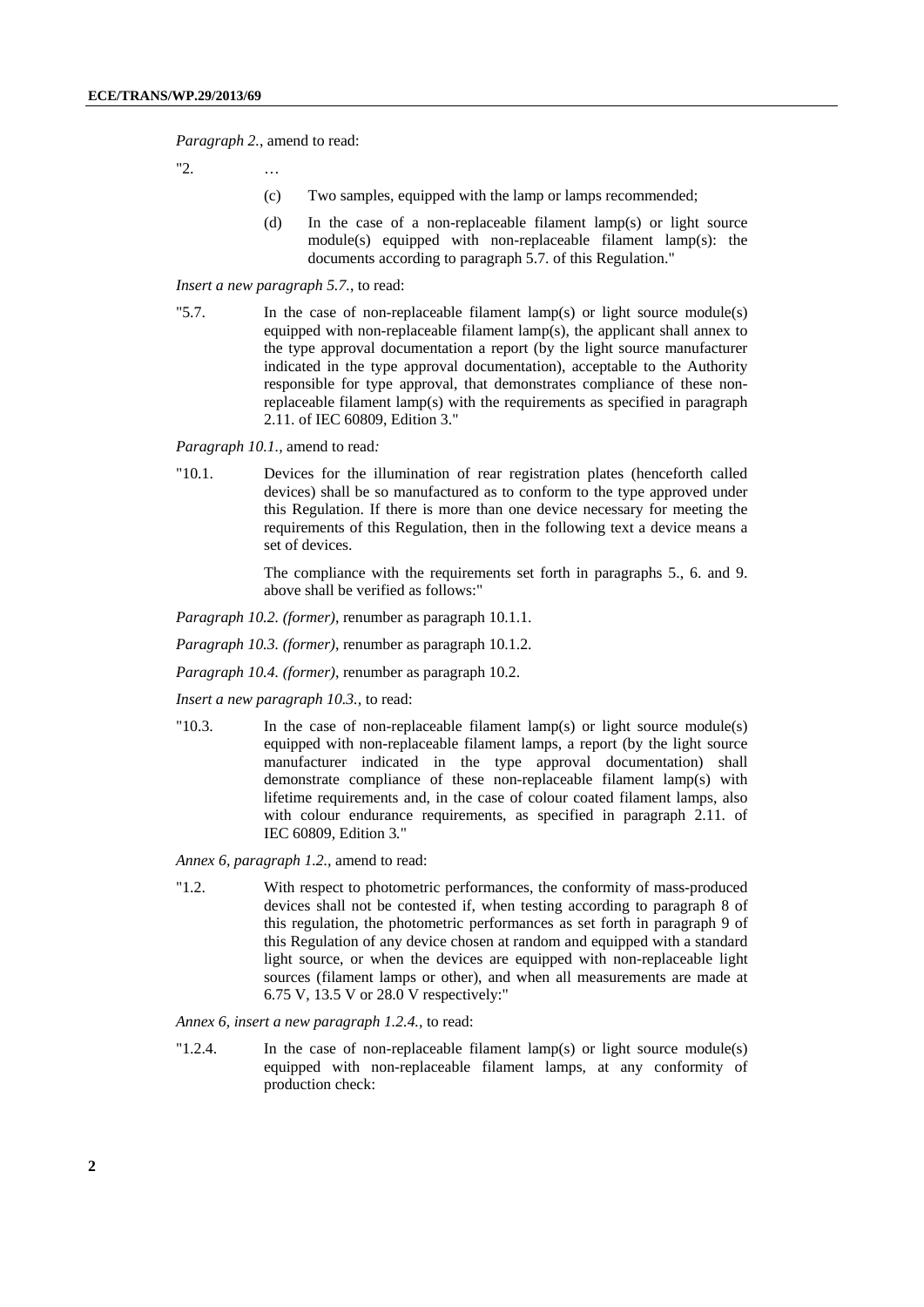*Paragraph 2.*, amend to read:

"2. …

- (c) Two samples, equipped with the lamp or lamps recommended;
- (d) In the case of a non-replaceable filament lamp(s) or light source module(s) equipped with non-replaceable filament lamp(s): the documents according to paragraph 5.7. of this Regulation."

#### *Insert a new paragraph 5.7.*, to read:

"5.7. In the case of non-replaceable filament lamp(s) or light source module(s) equipped with non-replaceable filament lamp(s), the applicant shall annex to the type approval documentation a report (by the light source manufacturer indicated in the type approval documentation), acceptable to the Authority responsible for type approval, that demonstrates compliance of these nonreplaceable filament lamp(s) with the requirements as specified in paragraph 2.11. of IEC 60809, Edition 3."

*Paragraph 10.1.,* amend to read*:* 

"10.1. Devices for the illumination of rear registration plates (henceforth called devices) shall be so manufactured as to conform to the type approved under this Regulation. If there is more than one device necessary for meeting the requirements of this Regulation, then in the following text a device means a set of devices.

> The compliance with the requirements set forth in paragraphs 5., 6. and 9. above shall be verified as follows:"

- *Paragraph 10.2. (former)*, renumber as paragraph 10.1.1.
- *Paragraph 10.3. (former)*, renumber as paragraph 10.1.2.
- *Paragraph 10.4. (former)*, renumber as paragraph 10.2.
- *Insert a new paragraph 10.3.,* to read:
- "10.3. In the case of non-replaceable filament lamp(s) or light source module(s) equipped with non-replaceable filament lamps, a report (by the light source manufacturer indicated in the type approval documentation) shall demonstrate compliance of these non-replaceable filament lamp(s) with lifetime requirements and, in the case of colour coated filament lamps, also with colour endurance requirements, as specified in paragraph 2.11. of IEC 60809, Edition 3*.*"

*Annex 6, paragraph 1.2.,* amend to read:

"1.2. With respect to photometric performances, the conformity of mass-produced devices shall not be contested if, when testing according to paragraph 8 of this regulation, the photometric performances as set forth in paragraph 9 of this Regulation of any device chosen at random and equipped with a standard light source, or when the devices are equipped with non-replaceable light sources (filament lamps or other), and when all measurements are made at 6.75 V, 13.5 V or 28.0 V respectively:"

*Annex 6, insert a new paragraph 1.2.4.,* to read:

"1.2.4. In the case of non-replaceable filament lamp(s) or light source module(s) equipped with non-replaceable filament lamps, at any conformity of production check: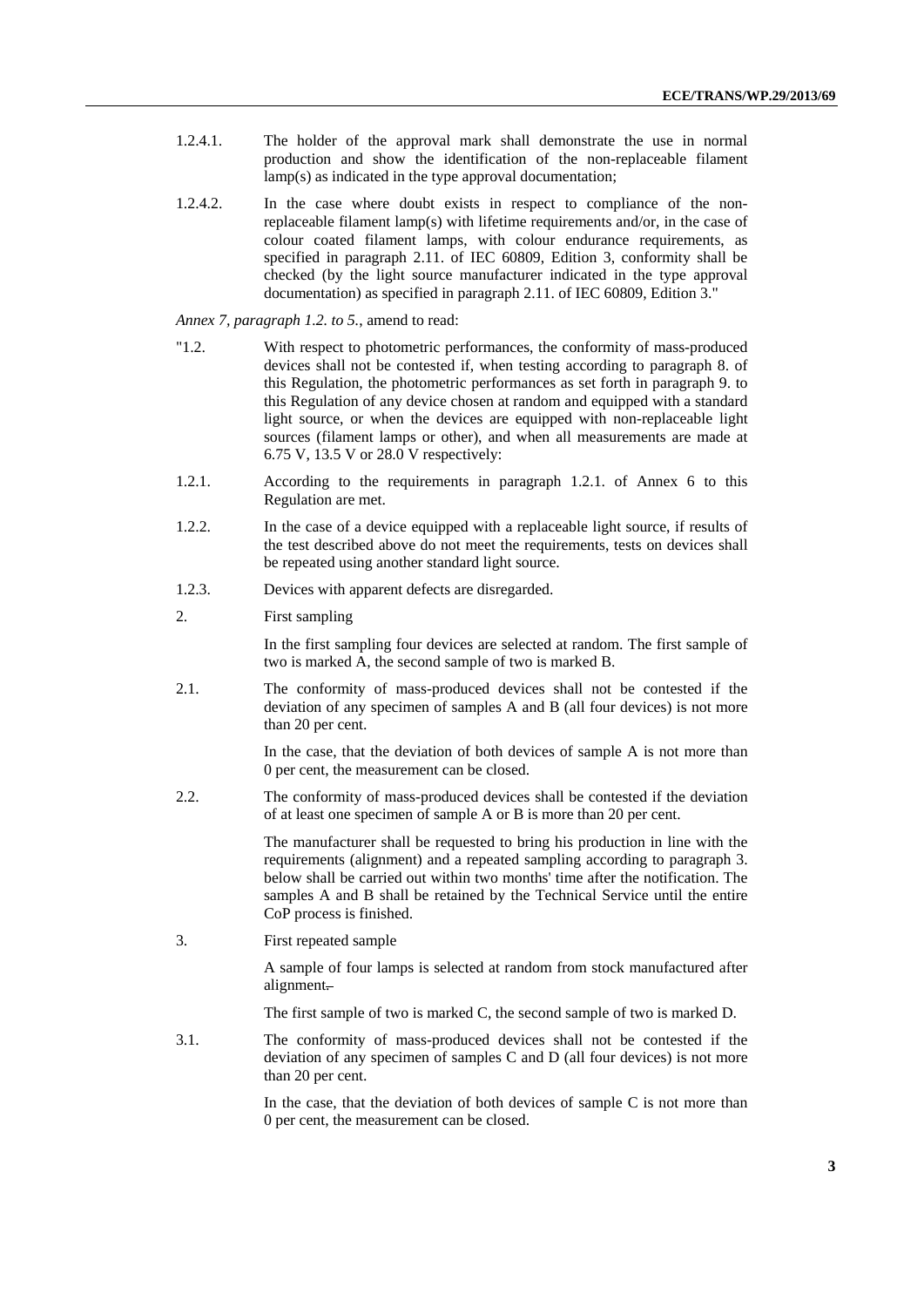- 1.2.4.1. The holder of the approval mark shall demonstrate the use in normal production and show the identification of the non-replaceable filament lamp(s) as indicated in the type approval documentation;
- 1.2.4.2. In the case where doubt exists in respect to compliance of the nonreplaceable filament lamp(s) with lifetime requirements and/or, in the case of colour coated filament lamps, with colour endurance requirements, as specified in paragraph 2.11. of IEC 60809, Edition 3, conformity shall be checked (by the light source manufacturer indicated in the type approval documentation) as specified in paragraph 2.11. of IEC 60809, Edition 3."

*Annex 7, paragraph 1.2. to 5.*, amend to read:

- "1.2. With respect to photometric performances, the conformity of mass-produced devices shall not be contested if, when testing according to paragraph 8. of this Regulation, the photometric performances as set forth in paragraph 9. to this Regulation of any device chosen at random and equipped with a standard light source, or when the devices are equipped with non-replaceable light sources (filament lamps or other), and when all measurements are made at 6.75 V, 13.5 V or 28.0 V respectively:
- 1.2.1. According to the requirements in paragraph 1.2.1. of Annex 6 to this Regulation are met.
- 1.2.2. In the case of a device equipped with a replaceable light source, if results of the test described above do not meet the requirements, tests on devices shall be repeated using another standard light source.
- 1.2.3. Devices with apparent defects are disregarded.
- 2. First sampling

In the first sampling four devices are selected at random. The first sample of two is marked A, the second sample of two is marked B.

2.1. The conformity of mass-produced devices shall not be contested if the deviation of any specimen of samples A and B (all four devices) is not more than 20 per cent.

> In the case, that the deviation of both devices of sample A is not more than 0 per cent, the measurement can be closed.

2.2. The conformity of mass-produced devices shall be contested if the deviation of at least one specimen of sample A or B is more than 20 per cent.

> The manufacturer shall be requested to bring his production in line with the requirements (alignment) and a repeated sampling according to paragraph 3. below shall be carried out within two months' time after the notification. The samples A and B shall be retained by the Technical Service until the entire CoP process is finished.

3. First repeated sample

A sample of four lamps is selected at random from stock manufactured after alignment.

The first sample of two is marked C, the second sample of two is marked D.

3.1. The conformity of mass-produced devices shall not be contested if the deviation of any specimen of samples C and D (all four devices) is not more than 20 per cent.

> In the case, that the deviation of both devices of sample C is not more than 0 per cent, the measurement can be closed.